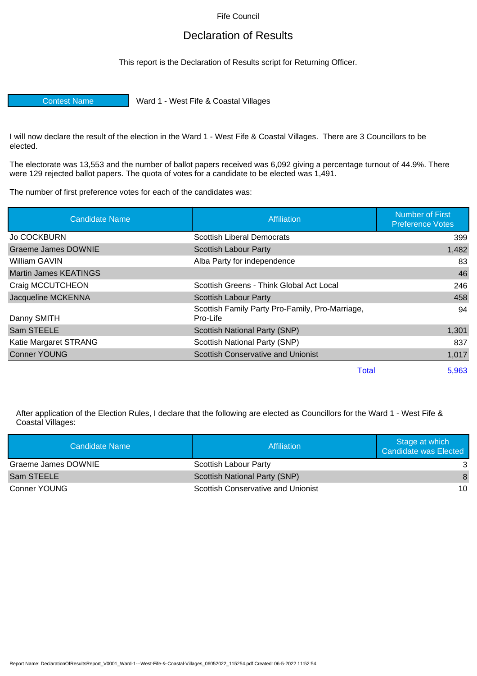Fife Council

## Declaration of Results

This report is the Declaration of Results script for Returning Officer.

Contest Name Ward 1 - West Fife & Coastal Villages

I will now declare the result of the election in the Ward 1 - West Fife & Coastal Villages. There are 3 Councillors to be elected.

The electorate was 13,553 and the number of ballot papers received was 6,092 giving a percentage turnout of 44.9%. There were 129 rejected ballot papers. The quota of votes for a candidate to be elected was 1,491.

The number of first preference votes for each of the candidates was:

| <b>Candidate Name</b>        | <b>Affiliation</b>                                          | <b>Number of First</b><br><b>Preference Votes</b> |
|------------------------------|-------------------------------------------------------------|---------------------------------------------------|
| <b>Jo COCKBURN</b>           | <b>Scottish Liberal Democrats</b>                           | 399                                               |
| <b>Graeme James DOWNIE</b>   | <b>Scottish Labour Party</b>                                | 1,482                                             |
| William GAVIN                | Alba Party for independence                                 | 83                                                |
| <b>Martin James KEATINGS</b> |                                                             | 46                                                |
| Craig MCCUTCHEON             | Scottish Greens - Think Global Act Local                    | 246                                               |
| Jacqueline MCKENNA           | <b>Scottish Labour Party</b>                                | 458                                               |
| Danny SMITH                  | Scottish Family Party Pro-Family, Pro-Marriage,<br>Pro-Life | 94                                                |
| Sam STEELE                   | <b>Scottish National Party (SNP)</b>                        | 1,301                                             |
| Katie Margaret STRANG        | Scottish National Party (SNP)                               | 837                                               |
| <b>Conner YOUNG</b>          | <b>Scottish Conservative and Unionist</b>                   | 1,017                                             |
|                              | <b>Total</b>                                                | 5,963                                             |

After application of the Election Rules, I declare that the following are elected as Councillors for the Ward 1 - West Fife & Coastal Villages:

| Candidate Name      | Affiliation                        | Stage at which<br>Candidate was Elected |
|---------------------|------------------------------------|-----------------------------------------|
| Graeme James DOWNIE | Scottish Labour Party              |                                         |
| Sam STEELE          | Scottish National Party (SNP)      | 8                                       |
| Conner YOUNG        | Scottish Conservative and Unionist | 10                                      |